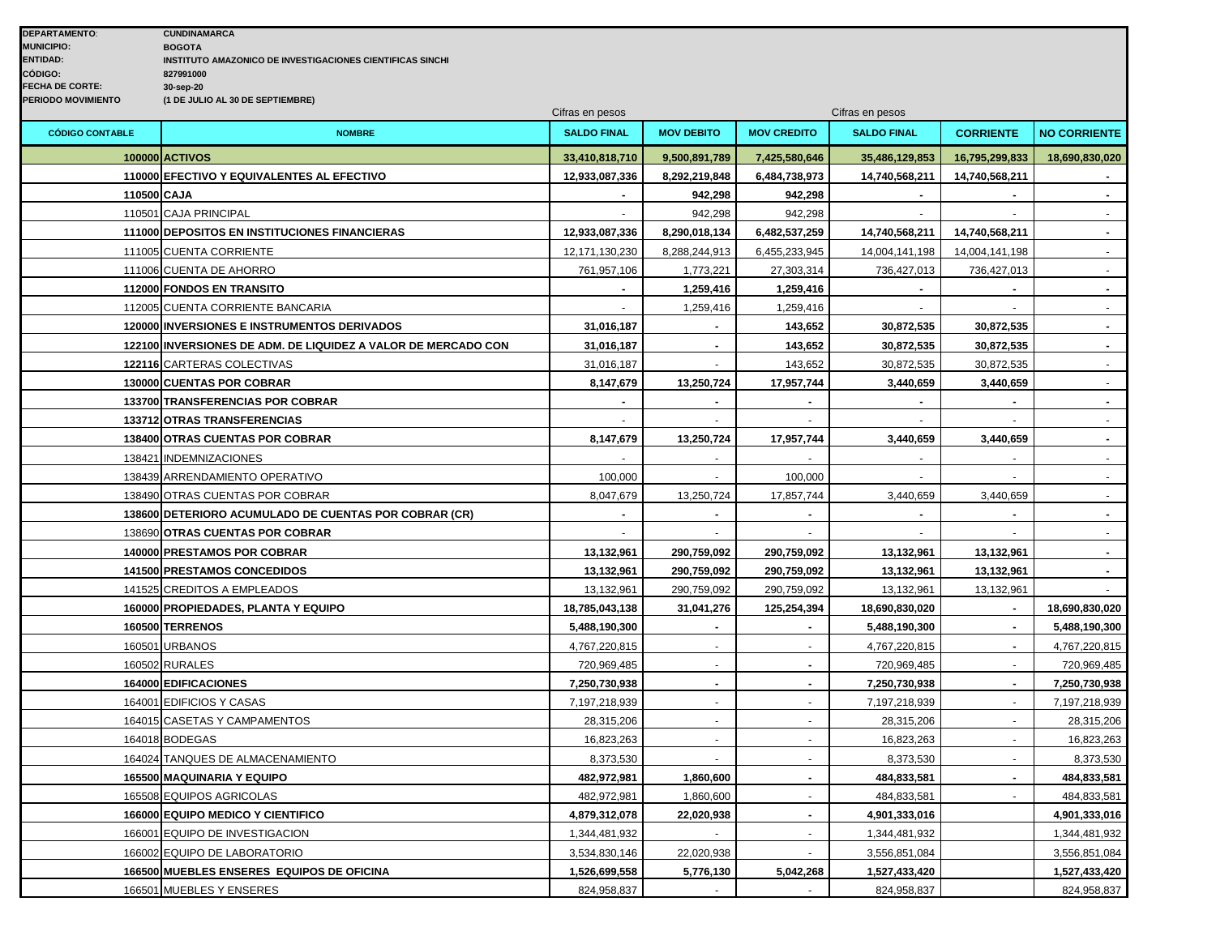|                        |                                                               | Cifras en pesos    |                   |                    | Cifras en pesos    |                          |                     |
|------------------------|---------------------------------------------------------------|--------------------|-------------------|--------------------|--------------------|--------------------------|---------------------|
| <b>CÓDIGO CONTABLE</b> | <b>NOMBRE</b>                                                 | <b>SALDO FINAL</b> | <b>MOV DEBITO</b> | <b>MOV CREDITO</b> | <b>SALDO FINAL</b> | <b>CORRIENTE</b>         | <b>NO CORRIENTE</b> |
|                        | 100000 ACTIVOS                                                | 33,410,818,710     | 9,500,891,789     | 7,425,580,646      | 35,486,129,853     | 16,795,299,833           | 18,690,830,020      |
|                        | 110000 EFECTIVO Y EQUIVALENTES AL EFECTIVO                    | 12,933,087,336     | 8,292,219,848     | 6,484,738,973      | 14,740,568,211     | 14,740,568,211           |                     |
| 110500 CAJA            |                                                               |                    | 942,298           | 942,298            |                    |                          |                     |
|                        | 110501 CAJA PRINCIPAL                                         |                    | 942,298           | 942,298            |                    |                          |                     |
|                        | 111000 DEPOSITOS EN INSTITUCIONES FINANCIERAS                 | 12,933,087,336     | 8,290,018,134     | 6,482,537,259      | 14,740,568,211     | 14,740,568,211           | $\sim$              |
|                        | 111005 CUENTA CORRIENTE                                       | 12,171,130,230     | 8,288,244,913     | 6,455,233,945      | 14,004,141,198     | 14,004,141,198           | $\sim$              |
|                        | 111006 CUENTA DE AHORRO                                       | 761,957,106        | 1,773,221         | 27,303,314         | 736,427,013        | 736,427,013              | $\mathbf{r}$        |
|                        | 112000 FONDOS EN TRANSITO                                     |                    | 1,259,416         | 1,259,416          |                    |                          | $\blacksquare$      |
|                        | 112005 CUENTA CORRIENTE BANCARIA                              |                    | 1,259,416         | 1,259,416          |                    | $\sim$                   | $\mathbf{r}$        |
|                        | 120000 INVERSIONES E INSTRUMENTOS DERIVADOS                   | 31,016,187         |                   | 143,652            | 30,872,535         | 30,872,535               | $\sim$              |
|                        | 122100 INVERSIONES DE ADM. DE LIQUIDEZ A VALOR DE MERCADO CON | 31,016,187         |                   | 143,652            | 30,872,535         | 30,872,535               | $\blacksquare$      |
|                        | 122116 CARTERAS COLECTIVAS                                    | 31,016,187         |                   | 143,652            | 30,872,535         | 30,872,535               | $\mathbf{u}$        |
|                        | 130000 CUENTAS POR COBRAR                                     | 8,147,679          | 13,250,724        | 17,957,744         | 3,440,659          | 3,440,659                | $\mathbf{r}$        |
|                        | 133700 TRANSFERENCIAS POR COBRAR                              |                    |                   |                    |                    | $\blacksquare$           | $\blacksquare$      |
|                        | 133712 OTRAS TRANSFERENCIAS                                   |                    |                   |                    |                    |                          |                     |
|                        | 138400 OTRAS CUENTAS POR COBRAR                               | 8,147,679          | 13,250,724        | 17,957,744         | 3,440,659          | 3,440,659                | $\blacksquare$      |
|                        | 138421 INDEMNIZACIONES                                        |                    |                   |                    |                    | $\sim$                   | $\mathbf{r}$        |
|                        | 138439 ARRENDAMIENTO OPERATIVO                                | 100,000            | $\blacksquare$    | 100,000            | $\overline{a}$     | $\sim$                   | $\sim$              |
|                        | 138490 OTRAS CUENTAS POR COBRAR                               | 8,047,679          | 13,250,724        | 17,857,744         | 3,440,659          | 3,440,659                | $\sim$              |
|                        | 138600 DETERIORO ACUMULADO DE CUENTAS POR COBRAR (CR)         | $\overline{a}$     |                   |                    |                    |                          | $\blacksquare$      |
|                        | 138690 OTRAS CUENTAS POR COBRAR                               |                    |                   |                    |                    |                          | $\sim$              |
|                        | 140000 PRESTAMOS POR COBRAR                                   | 13,132,961         | 290,759,092       | 290,759,092        | 13,132,961         | 13,132,961               |                     |
|                        | <b>141500 PRESTAMOS CONCEDIDOS</b>                            | 13,132,961         | 290,759,092       | 290,759,092        | 13,132,961         | 13,132,961               | $\sim$              |
|                        | 141525 CREDITOS A EMPLEADOS                                   | 13,132,961         | 290,759,092       | 290,759,092        | 13,132,961         | 13,132,961               |                     |
|                        | 160000 PROPIEDADES, PLANTA Y EQUIPO                           | 18,785,043,138     | 31,041,276        | 125,254,394        | 18,690,830,020     |                          | 18,690,830,020      |
|                        | 160500 TERRENOS                                               | 5,488,190,300      |                   |                    | 5,488,190,300      |                          | 5,488,190,300       |
|                        | 160501 URBANOS                                                | 4,767,220,815      | $\sim$            |                    | 4,767,220,815      | $\sim$                   | 4,767,220,815       |
|                        | 160502 RURALES                                                | 720,969,485        |                   |                    | 720,969,485        |                          | 720,969,485         |
|                        | 164000 EDIFICACIONES                                          | 7,250,730,938      | $\blacksquare$    |                    | 7,250,730,938      | $\overline{\phantom{a}}$ | 7,250,730,938       |
|                        | 164001 EDIFICIOS Y CASAS                                      | 7,197,218,939      |                   |                    | 7,197,218,939      |                          | 7,197,218,939       |
|                        | 164015 CASETAS Y CAMPAMENTOS                                  | 28,315,206         | $\overline{a}$    |                    | 28,315,206         |                          | 28,315,206          |
|                        | 164018 BODEGAS                                                | 16,823,263         | $\blacksquare$    | $\sim$             | 16,823,263         | $\sim$                   | 16,823,263          |
|                        | 164024 TANQUES DE ALMACENAMIENTO                              | 8,373,530          |                   |                    | 8,373,530          |                          | 8,373,530           |
|                        | 165500 MAQUINARIA Y EQUIPO                                    | 482,972,981        | 1,860,600         |                    | 484,833,581        |                          | 484,833,581         |
|                        | 165508 EQUIPOS AGRICOLAS                                      | 482,972,981        | 1,860,600         |                    | 484,833,581        |                          | 484,833,581         |
|                        | 166000 EQUIPO MEDICO Y CIENTIFICO                             | 4,879,312,078      | 22,020,938        | $\blacksquare$     | 4,901,333,016      |                          | 4,901,333,016       |
|                        | 166001 EQUIPO DE INVESTIGACION                                | 1,344,481,932      |                   |                    | 1,344,481,932      |                          | 1,344,481,932       |
|                        | 166002 EQUIPO DE LABORATORIO                                  | 3,534,830,146      | 22,020,938        |                    | 3,556,851,084      |                          | 3,556,851,084       |
|                        | 166500 MUEBLES ENSERES EQUIPOS DE OFICINA                     | 1,526,699,558      | 5,776,130         | 5,042,268          | 1,527,433,420      |                          | 1,527,433,420       |
|                        | 166501 MUEBLES Y ENSERES                                      | 824,958,837        | $\sim$            |                    | 824,958,837        |                          | 824,958,837         |
|                        |                                                               |                    |                   |                    |                    |                          |                     |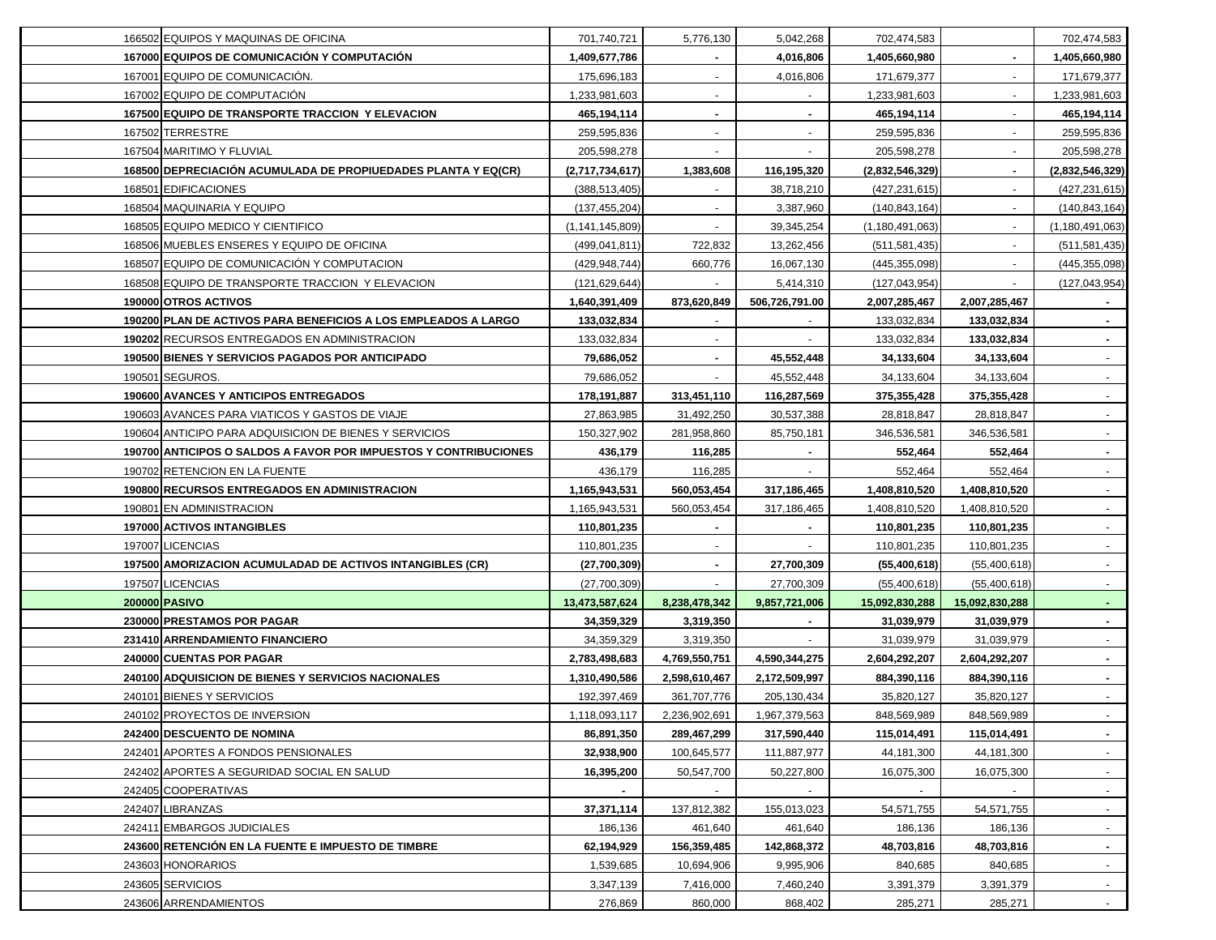| 166502 EQUIPOS Y MAQUINAS DE OFICINA                               | 701,740,721                 | 5,776,130                    | 5,042,268                    | 702,474,583                |                            | 702,474,583              |
|--------------------------------------------------------------------|-----------------------------|------------------------------|------------------------------|----------------------------|----------------------------|--------------------------|
| 167000 EQUIPOS DE COMUNICACIÓN Y COMPUTACIÓN                       | 1,409,677,786               |                              | 4,016,806                    | 1,405,660,980              |                            | 1,405,660,980            |
| 167001 EQUIPO DE COMUNICACIÓN.                                     | 175,696,183                 |                              | 4,016,806                    | 171,679,377                |                            | 171,679,377              |
| 167002 EQUIPO DE COMPUTACIÓN                                       | 1,233,981,603               |                              |                              | 1,233,981,603              |                            | 1,233,981,603            |
| 167500 EQUIPO DE TRANSPORTE TRACCION Y ELEVACION                   | 465,194,114                 |                              |                              | 465,194,114                |                            | 465,194,114              |
| 167502 TERRESTRE                                                   | 259,595,836                 |                              |                              | 259,595,836                |                            | 259,595,836              |
| 167504 MARITIMO Y FLUVIAL                                          | 205,598,278                 |                              |                              | 205,598,278                |                            | 205,598,278              |
| 168500 DEPRECIACIÓN ACUMULADA DE PROPIUEDADES PLANTA Y EQ(CR)      | (2,717,734,617)             | 1,383,608                    | 116,195,320                  | (2,832,546,329)            |                            | (2,832,546,329)          |
| 168501 EDIFICACIONES                                               | (388, 513, 405)             |                              | 38,718,210                   | (427, 231, 615)            |                            | (427, 231, 615)          |
| 168504 MAQUINARIA Y EQUIPO                                         | (137, 455, 204)             |                              | 3,387,960                    | (140, 843, 164)            |                            | (140, 843, 164)          |
| 168505 EQUIPO MEDICO Y CIENTIFICO                                  | (1, 141, 145, 809)          |                              | 39,345,254                   | (1, 180, 491, 063)         |                            | (1, 180, 491, 063)       |
| 168506 MUEBLES ENSERES Y EQUIPO DE OFICINA                         | (499, 041, 811)             | 722,832                      | 13,262,456                   | (511, 581, 435)            |                            | (511, 581, 435)          |
| 168507 EQUIPO DE COMUNICACIÓN Y COMPUTACION                        | (429, 948, 744)             | 660,776                      | 16,067,130                   | (445, 355, 098)            |                            | (445, 355, 098)          |
| 168508 EQUIPO DE TRANSPORTE TRACCION Y ELEVACION                   | (121, 629, 644)             |                              | 5,414,310                    | (127, 043, 954)            |                            | (127, 043, 954)          |
| 190000 OTROS ACTIVOS                                               | 1,640,391,409               | 873,620,849                  | 506,726,791.00               | 2,007,285,467              | 2,007,285,467              |                          |
| 190200 PLAN DE ACTIVOS PARA BENEFICIOS A LOS EMPLEADOS A LARGO     | 133,032,834                 |                              |                              | 133,032,834                | 133,032,834                |                          |
| 190202 RECURSOS ENTREGADOS EN ADMINISTRACION                       | 133,032,834                 |                              |                              | 133,032,834                | 133,032,834                |                          |
| 190500 BIENES Y SERVICIOS PAGADOS POR ANTICIPADO                   | 79,686,052                  |                              | 45,552,448                   | 34,133,604                 | 34,133,604                 |                          |
| 190501 SEGUROS.                                                    | 79,686,052                  |                              | 45,552,448                   | 34,133,604                 | 34,133,604                 |                          |
| <b>190600 AVANCES Y ANTICIPOS ENTREGADOS</b>                       | 178,191,887                 | 313,451,110                  | 116,287,569                  | 375,355,428                | 375,355,428                |                          |
| 190603 AVANCES PARA VIATICOS Y GASTOS DE VIAJE                     | 27,863,985                  | 31,492,250                   | 30,537,388                   | 28,818,847                 | 28,818,847                 |                          |
| 190604 ANTICIPO PARA ADQUISICION DE BIENES Y SERVICIOS             | 150,327,902                 | 281,958,860                  | 85,750,181                   | 346,536,581                | 346,536,581                | $\sim$                   |
| 190700 ANTICIPOS O SALDOS A FAVOR POR IMPUESTOS Y CONTRIBUCIONES   | 436,179                     | 116,285                      |                              | 552,464                    | 552,464                    | $\blacksquare$           |
| 190702 RETENCION EN LA FUENTE                                      | 436,179                     | 116,285                      |                              | 552,464                    | 552,464                    | $\blacksquare$           |
| 190800 RECURSOS ENTREGADOS EN ADMINISTRACION                       | 1,165,943,531               | 560,053,454                  | 317,186,465                  | 1,408,810,520              | 1,408,810,520              | $\blacksquare$           |
| 190801 EN ADMINISTRACION                                           | 1,165,943,531               | 560,053,454                  | 317, 186, 465                | 1,408,810,520              | 1,408,810,520              | $\blacksquare$           |
| 197000 ACTIVOS INTANGIBLES                                         | 110,801,235                 |                              |                              | 110,801,235                | 110,801,235                | $\blacksquare$           |
| 197007 LICENCIAS                                                   | 110,801,235                 |                              |                              | 110,801,235                | 110,801,235                |                          |
| 197500 AMORIZACION ACUMULADAD DE ACTIVOS INTANGIBLES (CR)          | (27,700,309)                |                              | 27,700,309                   | (55,400,618)               | (55,400,618)               |                          |
| 197507 LICENCIAS                                                   | (27,700,309)                |                              | 27,700,309                   | (55,400,618)               | (55,400,618)               |                          |
| 200000 PASIVO                                                      | 13,473,587,624              | 8,238,478,342                | 9,857,721,006                | 15,092,830,288             | 15,092,830,288             |                          |
| 230000 PRESTAMOS POR PAGAR                                         | 34,359,329                  | 3,319,350                    |                              | 31,039,979                 | 31,039,979                 |                          |
| 231410 ARRENDAMIENTO FINANCIERO                                    | 34,359,329                  | 3,319,350                    |                              | 31,039,979                 | 31,039,979                 |                          |
| 240000 CUENTAS POR PAGAR                                           | 2,783,498,683               | 4,769,550,751                | 4,590,344,275                | 2,604,292,207              | 2,604,292,207              |                          |
| 240100 ADQUISICION DE BIENES Y SERVICIOS NACIONALES                | 1,310,490,586               | 2,598,610,467                | 2,172,509,997                | 884,390,116                | 884,390,116                |                          |
| 240101 BIENES Y SERVICIOS                                          |                             |                              |                              |                            |                            |                          |
|                                                                    | 192,397,469                 | 361,707,776                  | 205, 130, 434                | 35,820,127                 | 35,820,127                 |                          |
|                                                                    |                             |                              |                              |                            |                            | $\sim$                   |
| 240102 PROYECTOS DE INVERSION<br><b>242400 DESCUENTO DE NOMINA</b> | 1,118,093,117<br>86,891,350 | 2,236,902,691<br>289,467,299 | 1,967,379,563<br>317,590,440 | 848,569,989<br>115,014,491 | 848,569,989<br>115,014,491 | $\sim$                   |
| 242401 APORTES A FONDOS PENSIONALES                                | 32,938,900                  | 100,645,577                  | 111,887,977                  | 44,181,300                 | 44,181,300                 | $\blacksquare$           |
| 242402 APORTES A SEGURIDAD SOCIAL EN SALUD                         | 16.395.200                  | 50,547,700                   | 50,227,800                   | 16,075,300                 | 16,075,300                 | $\sim$                   |
| 242405 COOPERATIVAS                                                |                             |                              |                              |                            |                            | $\sim$                   |
| 242407 LIBRANZAS                                                   | 37,371,114                  | 137,812,382                  | 155,013,023                  | 54,571,755                 | 54,571,755                 | $\sim$                   |
| 242411 EMBARGOS JUDICIALES                                         | 186,136                     | 461,640                      | 461,640                      | 186,136                    | 186,136                    | $\sim$                   |
| 243600 RETENCION EN LA FUENTE E IMPUESTO DE TIMBRE                 | 62,194,929                  | 156,359,485                  | 142,868,372                  | 48,703,816                 | 48,703,816                 | $\blacksquare$           |
| 243603 HONORARIOS                                                  | 1,539,685                   | 10,694,906                   | 9,995,906                    | 840,685                    | 840,685                    | $\overline{\phantom{a}}$ |
| 243605 SERVICIOS                                                   | 3,347,139                   | 7,416,000                    | 7,460,240                    | 3,391,379                  | 3,391,379                  | $\sim$                   |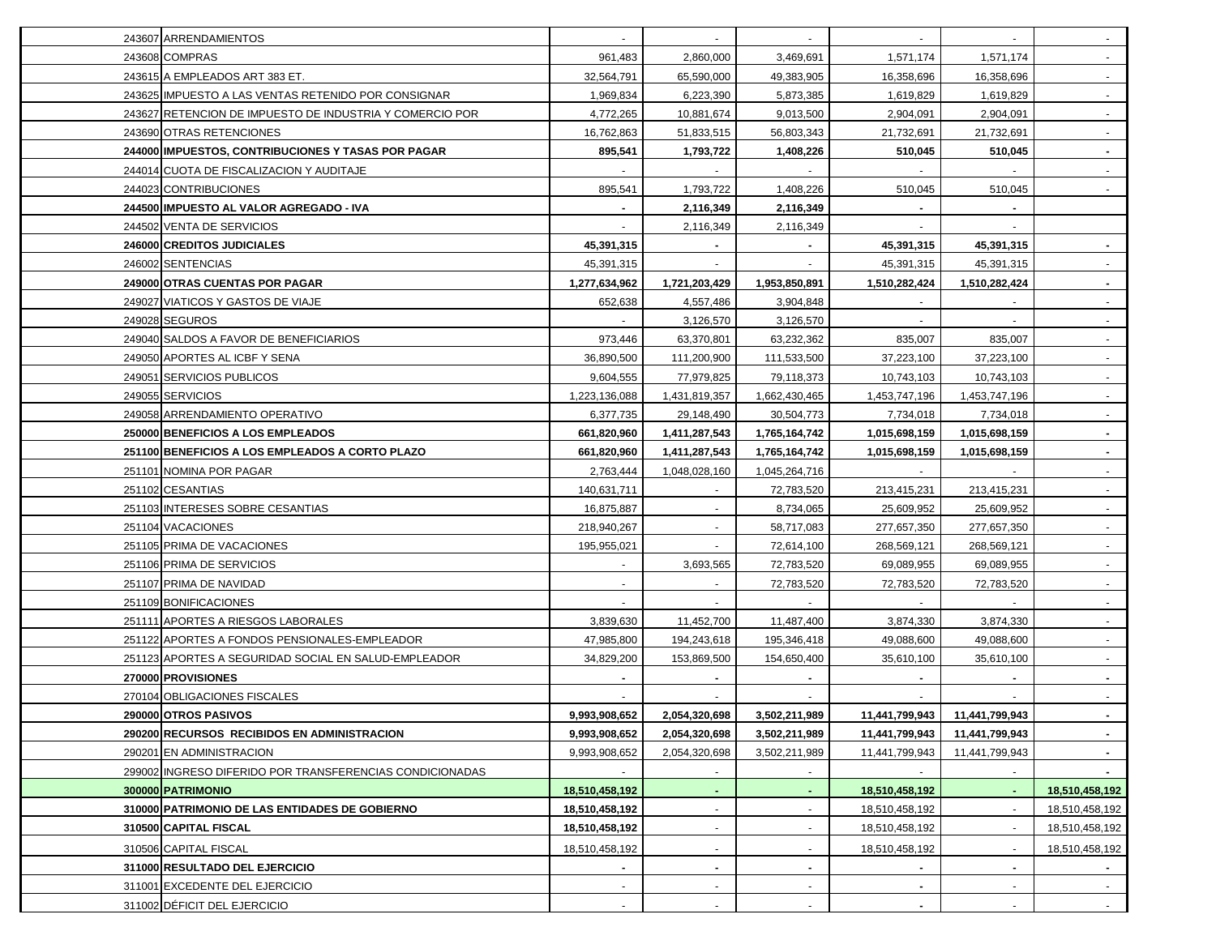| 243607 ARRENDAMIENTOS                                    |                                |                                | $\blacksquare$                 |                                  |                |                |
|----------------------------------------------------------|--------------------------------|--------------------------------|--------------------------------|----------------------------------|----------------|----------------|
| 243608 COMPRAS                                           | 961,483                        | 2,860,000                      | 3,469,691                      | 1,571,174                        | 1,571,174      | $\sim$         |
| 243615 A EMPLEADOS ART 383 ET.                           | 32,564,791                     | 65,590,000                     | 49,383,905                     | 16,358,696                       | 16,358,696     |                |
| 243625 IMPUESTO A LAS VENTAS RETENIDO POR CONSIGNAR      | 1,969,834                      | 6,223,390                      | 5,873,385                      | 1,619,829                        | 1,619,829      |                |
| 243627 RETENCION DE IMPUESTO DE INDUSTRIA Y COMERCIO POR | 4,772,265                      | 10,881,674                     | 9,013,500                      | 2,904,091                        | 2,904,091      |                |
| 243690 OTRAS RETENCIONES                                 | 16,762,863                     | 51,833,515                     | 56,803,343                     | 21,732,691                       | 21,732,691     |                |
| 244000 IMPUESTOS, CONTRIBUCIONES Y TASAS POR PAGAR       | 895,541                        | 1,793,722                      | 1,408,226                      | 510,045                          | 510,045        |                |
| 244014 CUOTA DE FISCALIZACION Y AUDITAJE                 |                                |                                |                                |                                  |                |                |
| 244023 CONTRIBUCIONES                                    | 895,541                        | 1,793,722                      | 1,408,226                      | 510,045                          | 510,045        |                |
| 244500 IMPUESTO AL VALOR AGREGADO - IVA                  |                                | 2,116,349                      | 2,116,349                      |                                  |                |                |
| 244502 VENTA DE SERVICIOS                                |                                | 2,116,349                      | 2,116,349                      |                                  |                |                |
| 246000 CREDITOS JUDICIALES                               | 45,391,315                     |                                |                                | 45,391,315                       | 45,391,315     |                |
| 246002 SENTENCIAS                                        | 45,391,315                     |                                |                                | 45,391,315                       | 45,391,315     |                |
| 249000 OTRAS CUENTAS POR PAGAR                           | 1,277,634,962                  | 1,721,203,429                  | 1,953,850,891                  | 1,510,282,424                    | 1,510,282,424  |                |
| 249027 VIATICOS Y GASTOS DE VIAJE                        | 652,638                        | 4,557,486                      | 3,904,848                      |                                  |                |                |
| 249028 SEGUROS                                           |                                | 3,126,570                      | 3,126,570                      |                                  |                |                |
| 249040 SALDOS A FAVOR DE BENEFICIARIOS                   | 973,446                        | 63,370,801                     | 63,232,362                     | 835,007                          | 835,007        |                |
| 249050 APORTES AL ICBF Y SENA                            | 36,890,500                     | 111,200,900                    | 111,533,500                    | 37,223,100                       | 37,223,100     |                |
| 249051 SERVICIOS PUBLICOS                                | 9,604,555                      | 77,979,825                     | 79,118,373                     | 10,743,103                       | 10,743,103     |                |
| 249055 SERVICIOS                                         | 1,223,136,088                  | 1,431,819,357                  | 1,662,430,465                  | 1,453,747,196                    | 1,453,747,196  |                |
| 249058 ARRENDAMIENTO OPERATIVO                           | 6,377,735                      | 29,148,490                     | 30,504,773                     | 7,734,018                        | 7,734,018      |                |
| 250000 BENEFICIOS A LOS EMPLEADOS                        | 661,820,960                    | 1,411,287,543                  | 1,765,164,742                  | 1,015,698,159                    | 1,015,698,159  |                |
| 251100 BENEFICIOS A LOS EMPLEADOS A CORTO PLAZO          | 661,820,960                    | 1,411,287,543                  | 1,765,164,742                  | 1,015,698,159                    | 1,015,698,159  | $\sim$         |
| 251101 NOMINA POR PAGAR                                  | 2,763,444                      | 1,048,028,160                  | 1,045,264,716                  |                                  |                | $\blacksquare$ |
| 251102 CESANTIAS                                         | 140,631,711                    |                                | 72,783,520                     | 213,415,231                      | 213,415,231    | $\sim$         |
| 251103 INTERESES SOBRE CESANTIAS                         | 16,875,887                     | $\blacksquare$                 | 8,734,065                      | 25,609,952                       | 25,609,952     | $\sim$         |
| 251104 VACACIONES                                        | 218,940,267                    |                                | 58,717,083                     | 277,657,350                      | 277,657,350    | $\sim$         |
| 251105 PRIMA DE VACACIONES                               | 195,955,021                    |                                | 72,614,100                     | 268,569,121                      | 268,569,121    |                |
| 251106 PRIMA DE SERVICIOS                                |                                | 3,693,565                      | 72,783,520                     | 69,089,955                       | 69,089,955     |                |
| 251107 PRIMA DE NAVIDAD                                  |                                |                                | 72,783,520                     | 72,783,520                       | 72,783,520     | $\sim$         |
| 251109 BONIFICACIONES                                    |                                |                                |                                |                                  |                |                |
| 251111 APORTES A RIESGOS LABORALES                       | 3,839,630                      | 11,452,700                     | 11,487,400                     | 3,874,330                        | 3,874,330      |                |
| 251122 APORTES A FONDOS PENSIONALES-EMPLEADOR            | 47,985,800                     | 194,243,618                    | 195,346,418                    | 49,088,600                       | 49,088,600     |                |
| 251123 APORTES A SEGURIDAD SOCIAL EN SALUD-EMPLEADOR     | 34,829,200                     | 153,869,500                    | 154,650,400                    | 35,610,100                       | 35,610,100     |                |
| 270000 PROVISIONES                                       |                                |                                |                                |                                  |                |                |
| 270104 OBLIGACIONES FISCALES                             |                                |                                |                                |                                  |                |                |
| 290000 OTROS PASIVOS                                     |                                |                                |                                |                                  | 11,441,799,943 |                |
| 290200 RECURSOS RECIBIDOS EN ADMINISTRACION              | 9,993,908,652<br>9,993,908,652 | 2,054,320,698<br>2,054,320,698 | 3,502,211,989<br>3,502,211,989 | 11,441,799,943<br>11,441,799,943 | 11,441,799,943 |                |
| 290201 EN ADMINISTRACION                                 | 9,993,908,652                  | 2,054,320,698                  | 3,502,211,989                  | 11,441,799,943                   | 11,441,799,943 |                |
| 299002 INGRESO DIFERIDO POR TRANSFERENCIAS CONDICIONADAS |                                |                                |                                |                                  |                |                |
| 300000 PATRIMONIO                                        | 18,510,458,192                 |                                |                                | 18,510,458,192                   |                | 18,510,458,192 |
| 310000 PATRIMONIO DE LAS ENTIDADES DE GOBIERNO           | 18,510,458,192                 |                                |                                | 18,510,458,192                   |                | 18,510,458,192 |
| 310500 CAPITAL FISCAL                                    | 18,510,458,192                 |                                |                                | 18,510,458,192                   |                | 18,510,458,192 |
|                                                          |                                |                                |                                |                                  |                |                |
| 310506 CAPITAL FISCAL                                    | 18,510,458,192                 |                                |                                | 18,510,458,192                   |                | 18,510,458,192 |
| 311000 RESULTADO DEL EJERCICIO                           |                                |                                | ٠                              |                                  |                |                |
| 311001 EXCEDENTE DEL EJERCICIO                           |                                |                                |                                |                                  |                |                |
| 311002 DÉFICIT DEL EJERCICIO                             |                                |                                |                                |                                  |                |                |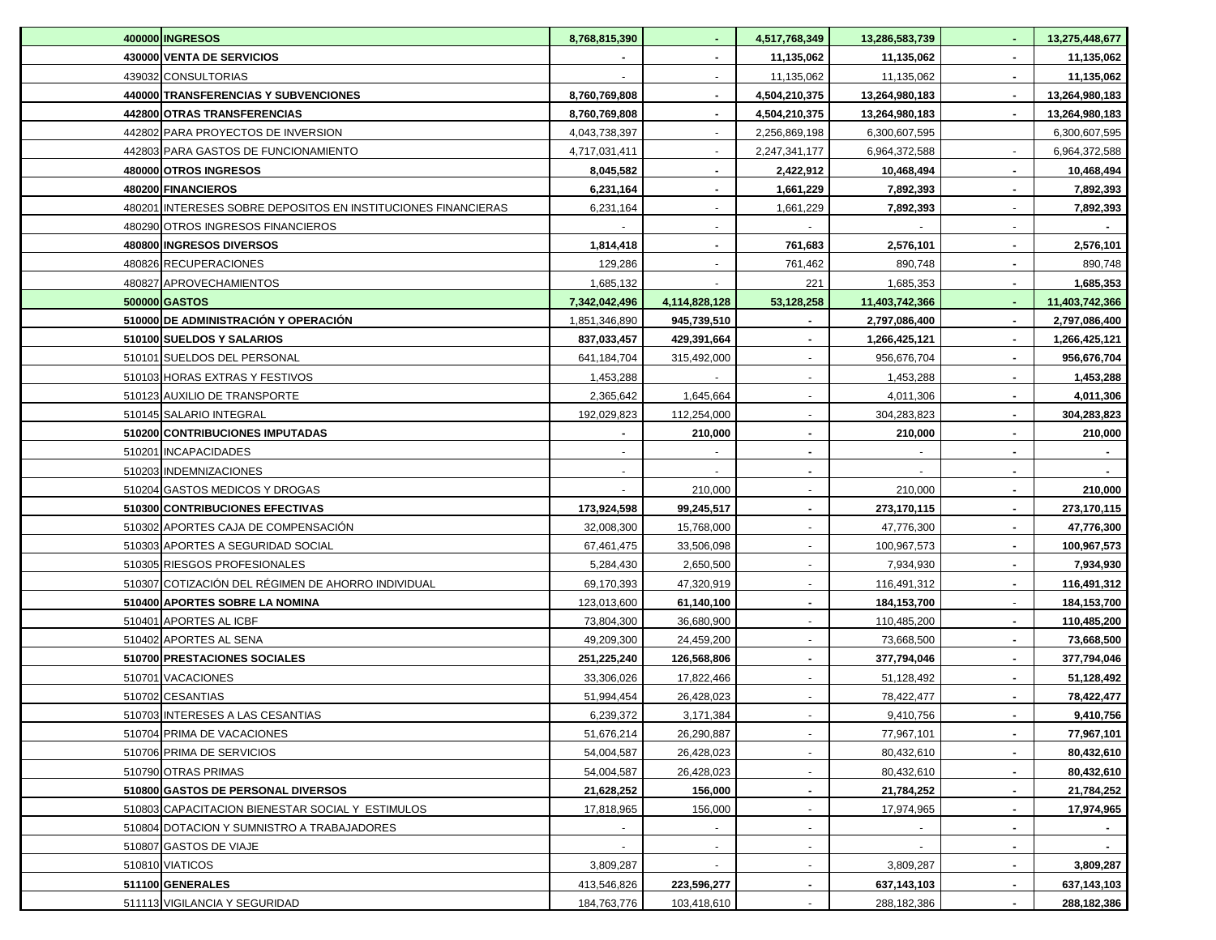| <b>400000 INGRESOS</b>                                        | 8,768,815,390 |               | 4,517,768,349  | 13,286,583,739 |        | 13,275,448,677 |
|---------------------------------------------------------------|---------------|---------------|----------------|----------------|--------|----------------|
| 430000 VENTA DE SERVICIOS                                     |               |               | 11,135,062     | 11,135,062     |        | 11,135,062     |
| 439032 CONSULTORIAS                                           |               |               | 11,135,062     | 11,135,062     |        | 11,135,062     |
| 440000 TRANSFERENCIAS Y SUBVENCIONES                          | 8,760,769,808 |               | 4,504,210,375  | 13,264,980,183 |        | 13,264,980,183 |
| 442800 OTRAS TRANSFERENCIAS                                   | 8,760,769,808 |               | 4,504,210,375  | 13,264,980,183 |        | 13,264,980,183 |
| 442802 PARA PROYECTOS DE INVERSION                            | 4,043,738,397 |               | 2,256,869,198  | 6,300,607,595  |        | 6,300,607,595  |
| 442803 PARA GASTOS DE FUNCIONAMIENTO                          | 4,717,031,411 |               | 2,247,341,177  | 6,964,372,588  |        | 6,964,372,588  |
| 480000 OTROS INGRESOS                                         | 8,045,582     |               | 2,422,912      | 10,468,494     |        | 10,468,494     |
| 480200 FINANCIEROS                                            | 6,231,164     |               | 1,661,229      | 7,892,393      |        | 7,892,393      |
| 480201 INTERESES SOBRE DEPOSITOS EN INSTITUCIONES FINANCIERAS | 6,231,164     |               | 1,661,229      | 7,892,393      |        | 7,892,393      |
| 480290 OTROS INGRESOS FINANCIEROS                             |               |               |                |                |        |                |
| 480800 INGRESOS DIVERSOS                                      | 1,814,418     |               | 761,683        | 2,576,101      |        | 2,576,101      |
| 480826 RECUPERACIONES                                         | 129,286       |               | 761,462        | 890,748        |        | 890,748        |
| 480827 APROVECHAMIENTOS                                       | 1,685,132     |               | 221            | 1,685,353      |        | 1,685,353      |
| 500000 GASTOS                                                 | 7,342,042,496 | 4,114,828,128 | 53,128,258     | 11,403,742,366 |        | 11,403,742,366 |
| 510000 DE ADMINISTRACIÓN Y OPERACIÓN                          | 1,851,346,890 | 945,739,510   |                | 2,797,086,400  |        | 2,797,086,400  |
| 510100 SUELDOS Y SALARIOS                                     | 837,033,457   | 429,391,664   |                | 1,266,425,121  |        | 1,266,425,121  |
| 510101 SUELDOS DEL PERSONAL                                   | 641,184,704   | 315,492,000   |                | 956,676,704    |        | 956,676,704    |
| 510103 HORAS EXTRAS Y FESTIVOS                                | 1,453,288     |               |                | 1,453,288      |        | 1,453,288      |
| 510123 AUXILIO DE TRANSPORTE                                  | 2,365,642     | 1,645,664     |                | 4,011,306      |        | 4,011,306      |
| 510145 SALARIO INTEGRAL                                       | 192,029,823   | 112,254,000   |                | 304,283,823    |        | 304,283,823    |
| 510200 CONTRIBUCIONES IMPUTADAS                               |               | 210,000       |                | 210,000        |        | 210,000        |
| 510201 INCAPACIDADES                                          |               |               |                |                |        |                |
| 510203 INDEMNIZACIONES                                        |               |               |                |                |        |                |
| 510204 GASTOS MEDICOS Y DROGAS                                |               | 210,000       |                | 210,000        |        | 210,000        |
| 510300 CONTRIBUCIONES EFECTIVAS                               | 173,924,598   | 99,245,517    | $\blacksquare$ | 273,170,115    |        | 273,170,115    |
| 510302 APORTES CAJA DE COMPENSACIÓN                           | 32,008,300    | 15,768,000    | $\blacksquare$ | 47,776,300     |        | 47,776,300     |
| 510303 APORTES A SEGURIDAD SOCIAL                             | 67,461,475    | 33,506,098    |                | 100,967,573    |        | 100,967,573    |
| 510305 RIESGOS PROFESIONALES                                  | 5,284,430     | 2,650,500     | $\blacksquare$ | 7,934,930      |        | 7,934,930      |
| 510307 COTIZACIÓN DEL RÉGIMEN DE AHORRO INDIVIDUAL            | 69,170,393    | 47,320,919    | $\sim$         | 116,491,312    |        | 116,491,312    |
| 510400 APORTES SOBRE LA NOMINA                                | 123,013,600   | 61,140,100    |                | 184,153,700    |        | 184,153,700    |
| 510401 APORTES AL ICBF                                        | 73,804,300    | 36,680,900    |                | 110,485,200    |        | 110,485,200    |
| 510402 APORTES AL SENA                                        | 49,209,300    | 24,459,200    |                | 73,668,500     |        | 73,668,500     |
| 510700 PRESTACIONES SOCIALES                                  | 251,225,240   | 126,568,806   | $\blacksquare$ | 377,794,046    |        | 377,794,046    |
| 510701 VACACIONES                                             | 33,306,026    | 17,822,466    |                | 51,128,492     |        | 51,128,492     |
| 510702 CESANTIAS                                              | 51,994,454    | 26,428,023    |                | 78,422,477     |        | 78,422,477     |
| 510703 INTERESES A LAS CESANTIAS                              | 6,239,372     | 3,171,384     | $\sim$         | 9,410,756      | $\sim$ | 9,410,756      |
| 510704 PRIMA DE VACACIONES                                    | 51,676,214    | 26,290,887    | $\blacksquare$ | 77,967,101     |        | 77,967,101     |
| 510706 PRIMA DE SERVICIOS                                     | 54,004,587    | 26,428,023    | $\blacksquare$ | 80,432,610     |        | 80,432,610     |
| 510790 OTRAS PRIMAS                                           | 54,004,587    | 26,428,023    | $\blacksquare$ | 80,432,610     |        | 80,432,610     |
| 510800 GASTOS DE PERSONAL DIVERSOS                            | 21,628,252    | 156,000       | $\blacksquare$ | 21,784,252     |        | 21,784,252     |
| 510803 CAPACITACION BIENESTAR SOCIAL Y ESTIMULOS              | 17,818,965    | 156,000       |                | 17,974,965     |        | 17,974,965     |
| 510804 DOTACION Y SUMNISTRO A TRABAJADORES                    |               |               |                |                |        |                |
| 510807 GASTOS DE VIAJE                                        |               |               |                |                |        |                |
| 510810 VIATICOS                                               | 3,809,287     |               |                | 3,809,287      |        | 3,809,287      |
| 511100 GENERALES                                              | 413,546,826   | 223,596,277   |                | 637,143,103    |        | 637,143,103    |
| 511113 VIGILANCIA Y SEGURIDAD                                 | 184,763,776   | 103,418,610   |                | 288,182,386    |        | 288,182,386    |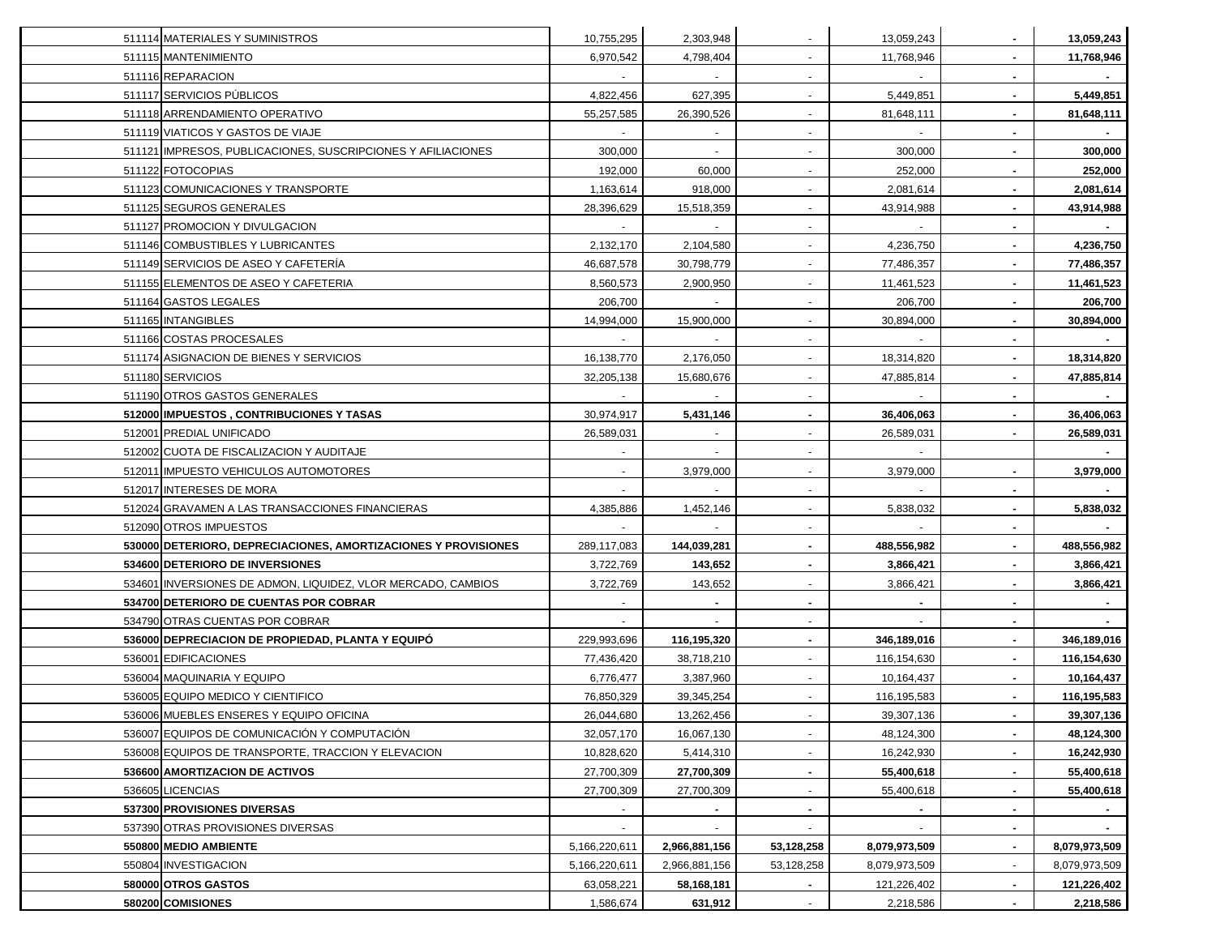| 511114 MATERIALES Y SUMINISTROS                                | 10,755,295    | 2,303,948      |                          | 13,059,243     |                | 13,059,243    |
|----------------------------------------------------------------|---------------|----------------|--------------------------|----------------|----------------|---------------|
| 511115 MANTENIMIENTO                                           | 6,970,542     | 4,798,404      |                          | 11,768,946     |                | 11,768,946    |
| 511116 REPARACION                                              |               |                |                          |                |                |               |
| 511117 SERVICIOS PÚBLICOS                                      | 4,822,456     | 627,395        |                          | 5,449,851      |                | 5,449,851     |
| 511118 ARRENDAMIENTO OPERATIVO                                 | 55,257,585    | 26,390,526     |                          | 81,648,111     |                | 81,648,111    |
| 511119 VIATICOS Y GASTOS DE VIAJE                              |               |                | $\blacksquare$           |                |                |               |
| 511121 IMPRESOS, PUBLICACIONES, SUSCRIPCIONES Y AFILIACIONES   | 300,000       | $\sim$         | $\overline{\phantom{a}}$ | 300,000        |                | 300,000       |
| 511122 FOTOCOPIAS                                              | 192,000       | 60,000         | $\overline{\phantom{a}}$ | 252,000        |                | 252,000       |
| 511123 COMUNICACIONES Y TRANSPORTE                             | 1,163,614     | 918,000        | $\overline{\phantom{a}}$ | 2,081,614      |                | 2,081,614     |
| 511125 SEGUROS GENERALES                                       | 28,396,629    | 15,518,359     |                          | 43,914,988     |                | 43,914,988    |
| 511127 PROMOCION Y DIVULGACION                                 |               |                |                          |                |                |               |
| 511146 COMBUSTIBLES Y LUBRICANTES                              | 2,132,170     | 2,104,580      |                          | 4,236,750      |                | 4,236,750     |
| 511149 SERVICIOS DE ASEO Y CAFETERIA                           | 46,687,578    | 30,798,779     |                          | 77,486,357     |                | 77,486,357    |
| 511155 ELEMENTOS DE ASEO Y CAFETERIA                           | 8,560,573     | 2,900,950      |                          | 11,461,523     |                | 11,461,523    |
| 511164 GASTOS LEGALES                                          | 206,700       |                |                          | 206,700        |                | 206,700       |
| 511165 INTANGIBLES                                             | 14,994,000    | 15,900,000     |                          | 30,894,000     |                | 30,894,000    |
| 511166 COSTAS PROCESALES                                       |               |                | $\blacksquare$           |                |                |               |
| 511174 ASIGNACION DE BIENES Y SERVICIOS                        | 16,138,770    | 2,176,050      |                          | 18,314,820     |                | 18,314,820    |
| 511180 SERVICIOS                                               | 32,205,138    | 15,680,676     |                          | 47,885,814     |                | 47,885,814    |
| 511190 OTROS GASTOS GENERALES                                  |               |                |                          |                |                |               |
| 512000 IMPUESTOS, CONTRIBUCIONES Y TASAS                       | 30,974,917    | 5,431,146      |                          | 36,406,063     |                | 36,406,063    |
| 512001 PREDIAL UNIFICADO                                       | 26,589,031    |                |                          | 26,589,031     |                | 26,589,031    |
| 512002 CUOTA DE FISCALIZACION Y AUDITAJE                       |               |                |                          |                |                |               |
| 512011 IMPUESTO VEHICULOS AUTOMOTORES                          |               | 3,979,000      |                          | 3,979,000      |                | 3,979,000     |
| 512017 INTERESES DE MORA                                       |               |                |                          |                |                |               |
| 512024 GRAVAMEN A LAS TRANSACCIONES FINANCIERAS                | 4,385,886     | 1,452,146      |                          | 5,838,032      |                | 5,838,032     |
| 512090 OTROS IMPUESTOS                                         |               |                |                          |                |                |               |
| 530000 DETERIORO, DEPRECIACIONES, AMORTIZACIONES Y PROVISIONES | 289,117,083   | 144,039,281    | ٠                        | 488,556,982    |                | 488,556,982   |
| 534600 DETERIORO DE INVERSIONES                                | 3,722,769     | 143,652        |                          | 3,866,421      |                | 3,866,421     |
| 534601 INVERSIONES DE ADMON, LIQUIDEZ, VLOR MERCADO, CAMBIOS   | 3,722,769     | 143,652        |                          | 3,866,421      |                | 3,866,421     |
| 534700 DETERIORO DE CUENTAS POR COBRAR                         |               |                | $\blacksquare$           | $\blacksquare$ |                |               |
| 534790 OTRAS CUENTAS POR COBRAR                                |               | $\blacksquare$ | $\blacksquare$           |                | $\blacksquare$ |               |
| 536000 DEPRECIACION DE PROPIEDAD, PLANTA Y EQUIPÓ              | 229,993,696   | 116,195,320    |                          | 346,189,016    |                | 346,189,016   |
| 536001 EDIFICACIONES                                           | 77,436,420    | 38,718,210     |                          | 116,154,630    |                | 116,154,630   |
| 536004 MAQUINARIA Y EQUIPO                                     | 6,776,477     | 3,387,960      |                          | 10,164,437     |                | 10,164,437    |
| 536005 EQUIPO MEDICO Y CIENTIFICO                              | 76,850,329    | 39,345,254     |                          | 116,195,583    |                | 116,195,583   |
| 536006 MUEBLES ENSERES Y EQUIPO OFICINA                        | 26,044,680    | 13,262,456     |                          | 39,307,136     |                | 39,307,136    |
| 536007 EQUIPOS DE COMUNICACIÓN Y COMPUTACIÓN                   | 32,057,170    | 16,067,130     |                          | 48,124,300     |                | 48,124,300    |
| 536008 EQUIPOS DE TRANSPORTE, TRACCION Y ELEVACION             | 10,828,620    | 5,414,310      |                          | 16,242,930     |                | 16,242,930    |
| 536600 AMORTIZACION DE ACTIVOS                                 | 27,700,309    | 27,700,309     |                          | 55,400,618     |                | 55,400,618    |
| 536605 LICENCIAS                                               | 27,700,309    | 27,700,309     | $\blacksquare$           | 55,400,618     |                | 55,400,618    |
| 537300 PROVISIONES DIVERSAS                                    |               |                |                          |                |                |               |
| 537390 OTRAS PROVISIONES DIVERSAS                              |               |                |                          |                |                |               |
| 550800 MEDIO AMBIENTE                                          | 5,166,220,611 | 2,966,881,156  | 53,128,258               | 8,079,973,509  |                | 8,079,973,509 |
| 550804 INVESTIGACION                                           | 5,166,220,611 | 2,966,881,156  | 53,128,258               | 8,079,973,509  |                | 8,079,973,509 |
| 580000 OTROS GASTOS                                            | 63,058,221    | 58,168,181     |                          | 121,226,402    |                | 121,226,402   |
| 580200 COMISIONES                                              | 1,586,674     | 631,912        |                          | 2,218,586      |                | 2,218,586     |